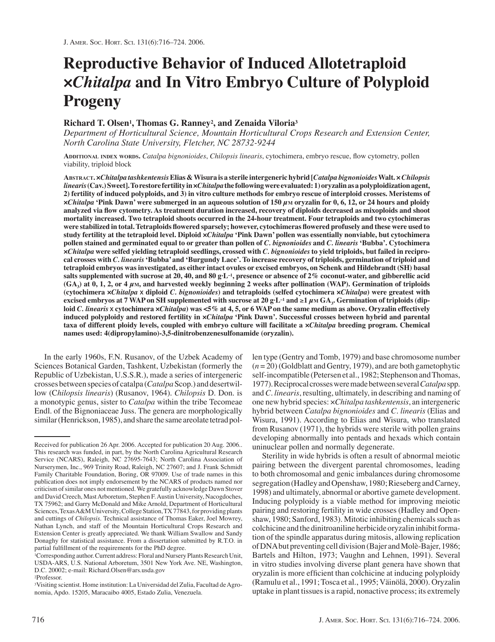# **Reproductive Behavior of Induced Allotetraploid ×***Chitalpa* **and In Vitro Embryo Culture of Polyploid Progeny**

# **Richard T. Olsen1, Thomas G. Ranney2, and Zenaida Viloria3**

*Department of Horticultural Science, Mountain Horticultural Crops Research and Extension Center, North Carolina State University, Fletcher, NC 28732-9244*

ADDITIONAL INDEX WORDS. Catalpa bignonioides, Chilopsis linearis, cytochimera, embryo rescue, flow cytometry, pollen viability, triploid block

**ABSTRACT. ×***Chitalpa tashkentensis* **Elias & Wisura is a sterile intergeneric hybrid [***Catalpa bignonioides* **Walt. ×***Chilopsis linearis* **(Cav.) Sweet]. To restore fertility in ×***Chitalpa***the following were evaluated: 1) oryzalin as a polyploidization agent, 2) fertility of induced polyploids, and 3) in vitro culture methods for embryo rescue of interploid crosses. Meristems of ×***Chitalpa* **'Pink Dawn' were submerged in an aqueous solution of 150** *μ***M oryzalin for 0, 6, 12, or 24 hours and ploidy** analyzed via flow cytometry. As treatment duration increased, recovery of diploids decreased as mixoploids and shoot **mortality increased. Two tetraploid shoots occurred in the 24-hour treatment. Four tetraploids and two cytochimeras** were stabilized in total. Tetraploids flowered sparsely; however, cytochimeras flowered profusely and these were used to **study fertility at the tetraploid level. Diploid ×***Chitalpa* **'Pink Dawn' pollen was essentially nonviable, but cytochimera pollen stained and germinated equal to or greater than pollen of** *C. bignonioides* **and** *C. linearis* **'Bubba'. Cytochimera ×***Chitalpa* **were selfed yielding tetraploid seedlings, crossed with** *C. bignonioides* **to yield triploids, but failed in reciprocal crosses with** *C. linearis* **'Bubba' and 'Burgundy Lace'. To increase recovery of triploids, germination of triploid and tetraploid embryos was investigated, as either intact ovules or excised embryos, on Schenk and Hildebrandt (SH) basal salts supplemented with sucrose at 20, 40, and 80 g·L–1, presence or absence of 2% coconut-water, and gibberellic acid (GA3) at 0, 1, 2, or 4** *μ***M, and harvested weekly beginning 2 weeks after pollination (WAP). Germination of triploids (cytochimera ×***Chitalpa* x **diploid** *C. bignonioides***) and tetraploids (selfed cytochimera ×***Chitalpa***) were greatest with excised embryos at 7 WAP on SH supplemented with sucrose at 20 g·L–1 and** ≥**1** *μ***M GA3. Germination of triploids (diploid** *C. linearis* x **cytochimera ×***Chitalpa***) was <5% at 4, 5, or 6 WAP on the same medium as above. Oryzalin effectively induced polyploidy and restored fertility in ×***Chitalpa* **'Pink Dawn'. Successful crosses between hybrid and parental taxa of different ploidy levels, coupled with embryo culture will facilitate a ×***Chitalpa* **breeding program. Chemical names used: 4(dipropylamino)-3,5-dinitrobenzenesulfonamide (oryzalin).**

In the early 1960s, F.N. Rusanov, of the Uzbek Academy of Sciences Botanical Garden, Tashkent, Uzbekistan (formerly the Republic of Uzbekistan, U.S.S.R.), made a series of intergeneric crosses between species of catalpa (*Catalpa* Scop.) and desertwillow (C*hilopsis linearis*) (Rusanov, 1964). *Chilopsis* D. Don. is a monotypic genus, sister to *Catalpa* within the tribe Tecomeae Endl. of the Bignoniaceae Juss. The genera are morphologically similar (Henrickson, 1985), and share the same areolate tetrad pollen type (Gentry and Tomb, 1979) and base chromosome number (*n* = 20) (Goldblatt and Gentry, 1979), and are both gametophytic self-incompatible (Petersen et al., 1982; Stephenson and Thomas, 1977). Reciprocal crosses were made between several*Catalpa*spp. and*C. linearis*, resulting, ultimately, in describing and naming of one new hybrid species: ×*Chitalpa tashkentensis*, an intergeneric hybrid between *Catalpa bignonioides* and *C. linearis* (Elias and Wisura, 1991). According to Elias and Wisura, who translated from Rusanov (1971), the hybrids were sterile with pollen grains developing abnormally into pentads and hexads which contain uninuclear pollen and normally degenerate.

Sterility in wide hybrids is often a result of abnormal meiotic pairing between the divergent parental chromosomes, leading to both chromosomal and genic imbalances during chromosome segregation (Hadley and Openshaw, 1980; Rieseberg and Carney, 1998) and ultimately, abnormal or abortive gamete development. Inducing polyploidy is a viable method for improving meiotic pairing and restoring fertility in wide crosses (Hadley and Openshaw, 1980; Sanford, 1983). Mitotic inhibiting chemicals such as colchicine and the dinitroaniline herbicide oryzalin inhibit formation of the spindle apparatus during mitosis, allowing replication of DNA but preventing cell division (Bajer and Molè-Bajer, 1986; Bartels and Hilton, 1973; Vaughn and Lehnen, 1991). Several in vitro studies involving diverse plant genera have shown that oryzalin is more efficient than colchicine at inducing polyploidy (Ramulu et al., 1991; Tosca et al., 1995; Väinölä, 2000). Oryzalin uptake in plant tissues is a rapid, nonactive process; its extremely

Received for publication 26 Apr. 2006. Accepted for publication 20 Aug. 2006.. This research was funded, in part, by the North Carolina Agricultural Research Service (NCARS), Raleigh, NC 27695-7643; North Carolina Association of Nurserymen, Inc., 969 Trinity Road, Raleigh, NC 27607; and J. Frank Schmidt Family Charitable Foundation, Boring, OR 97009. Use of trade names in this publication does not imply endorsement by the NCARS of products named nor criticism of similar ones not mentioned. We gratefully acknowledge Dawn Stover and David Creech, Mast Arboretum, Stephen F. Austin University, Nacogdoches, TX 75962; and Garry McDonald and Mike Arnold, Department of Horticultural Sciences, Texas A&M University, College Station, TX 77843, for providing plants and cuttings of *Chilopsis.* Technical assistance of Thomas Eaker, Joel Mowrey, Nathan Lynch, and staff of the Mountain Horticultural Crops Research and Extension Center is greatly appreciated. We thank William Swallow and Sandy Donaghy for statistical assistance. From a dissertation submitted by R.T.O. in partial fulfillment of the requirements for the PhD degree.

<sup>&</sup>lt;sup>1</sup>Corresponding author. Current address: Floral and Nursery Plants Research Unit, USDA-ARS, U.S. National Arboretum, 3501 New York Ave. NE, Washington, D.C. 20002; e-mail: Richard.Olsen@ars.usda.gov

<sup>2</sup>Professor.

<sup>3</sup>Visiting scientist. Home institution: La Universidad del Zulia, Facultad de Agronomia, Apdo. 15205, Maracaibo 4005, Estado Zulia, Venezuela.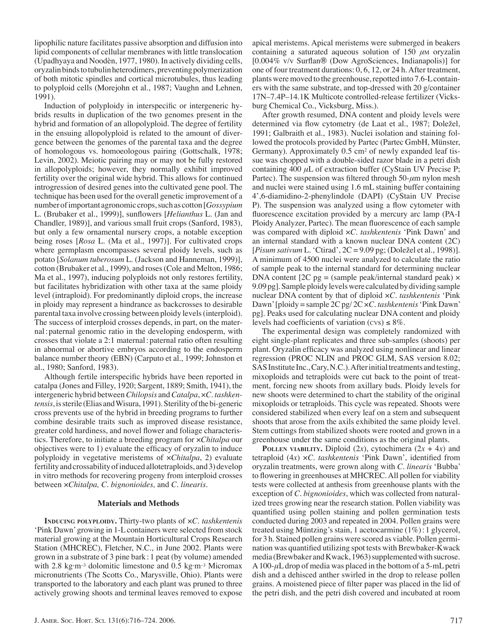lipophilic nature facilitates passive absorption and diffusion into lipid components of cellular membranes with little translocation (Upadhyaya and Noodèn, 1977, 1980). In actively dividing cells, oryzalin binds to tubulin heterodimers, preventing polymerization of both mitotic spindles and cortical microtubules, thus leading to polyploid cells (Morejohn et al., 1987; Vaughn and Lehnen, 1991).

Induction of polyploidy in interspecific or intergeneric hybrids results in duplication of the two genomes present in the hybrid and formation of an allopolyploid. The degree of fertility in the ensuing allopolyploid is related to the amount of divergence between the genomes of the parental taxa and the degree of homologous vs. homoeologous pairing (Gottschalk, 1978; Levin, 2002). Meiotic pairing may or may not be fully restored in allopolyploids; however, they normally exhibit improved fertility over the original wide hybrid. This allows for continued introgression of desired genes into the cultivated gene pool. The technique has been used for the overall genetic improvement of a number of important agronomic crops, such as cotton [*Gossypium* L. (Brubaker et al., 1999)], sunflowers [*Helianthus* L. (Jan and Chandler, 1989)], and various small fruit crops (Sanford, 1983), but only a few ornamental nursery crops, a notable exception being roses [*Rosa* L. (Ma et al., 1997)]. For cultivated crops where germplasm encompasses several ploidy levels, such as potato [*Solanum tuberosum* L. (Jackson and Hanneman, 1999)], cotton (Brubaker et al., 1999), and roses (Cole and Melton, 1986; Ma et al., 1997), inducing polyploids not only restores fertility, but facilitates hybridization with other taxa at the same ploidy level (intraploid). For predominantly diploid crops, the increase in ploidy may represent a hindrance as backcrosses to desirable parental taxa involve crossing between ploidy levels (interploid). The success of interploid crosses depends, in part, on the maternal : paternal genomic ratio in the developing endosperm, with crosses that violate a 2:1 maternal : paternal ratio often resulting in abnormal or abortive embryos according to the endosperm balance number theory (EBN) (Carputo et al., 1999; Johnston et al., 1980; Sanford, 1983).

Although fertile interspecific hybrids have been reported in catalpa (Jones and Filley, 1920; Sargent, 1889; Smith, 1941), the intergeneric hybrid between*Chilopsis* and*Catalpa*, ×*C. tashkentensis*, is sterile (Elias and Wisura, 1991). Sterility of the bi-generic cross prevents use of the hybrid in breeding programs to further combine desirable traits such as improved disease resistance, greater cold hardiness, and novel flower and foliage characteristics. Therefore, to initiate a breeding program for ×*Chitalpa* our objectives were to 1) evaluate the efficacy of oryzalin to induce polyploidy in vegetative meristems of ×*Chitalpa*, 2) evaluate fertility and crossability of induced allotetraploids, and 3) develop in vitro methods for recovering progeny from interploid crosses between ×*Chitalpa, C. bignonioides,* and *C. linearis*.

## **Materials and Methods**

**INDUCING POLYPLOIDY.** Thirty-two plants of ×*C. tashkentenis* 'Pink Dawn' growing in 1-L containers were selected from stock material growing at the Mountain Horticultural Crops Research Station (MHCREC), Fletcher, N.C., in June 2002. Plants were grown in a substrate of 3 pine bark : 1 peat (by volume) amended with 2.8 kg·m<sup>-3</sup> dolomitic limestone and 0.5 kg·m<sup>-3</sup> Micromax micronutrients (The Scotts Co., Marysville, Ohio). Plants were transported to the laboratory and each plant was pruned to three actively growing shoots and terminal leaves removed to expose

apical meristems. Apical meristems were submerged in beakers containing a saturated aqueous solution of 150 *μ*M oryzalin [0.004% v/v Surflan® (Dow AgroSciences, Indianapolis)] for one of four treatment durations: 0, 6, 12, or 24 h. After treatment, plants were moved to the greenhouse, repotted into 7.6-L containers with the same substrate, and top-dressed with 20 g/container 17N–7.4P–14.1K Multicote controlled-release fertilizer (Vicksburg Chemical Co., Vicksburg, Miss.).

After growth resumed, DNA content and ploidy levels were determined via flow cytometry (de Laat et al., 1987; Doležel, 1991; Galbraith et al., 1983). Nuclei isolation and staining followed the protocols provided by Partec (Partec GmbH, Münster, Germany). Approximately 0.5 cm2 of newly expanded leaf tissue was chopped with a double-sided razor blade in a petri dish containing 400 *μ*L of extraction buffer (CyStain UV Precise P; Partec). The suspension was filtered through 50-μm nylon mesh and nuclei were stained using 1.6 mL staining buffer containing 4',6-diamidino-2-phenylindole (DAPI) (CyStain UV Precise P). The suspension was analyzed using a flow cytometer with fluorescence excitation provided by a mercury arc lamp (PA-I Ploidy Analyzer, Partec). The mean fluorescence of each sample was compared with diploid ×*C. tashkentenis* 'Pink Dawn' and an internal standard with a known nuclear DNA content (2C) [*Pisum sativum* L. 'Ctirad', 2C = 9.09 pg; (Doležel et al., 1998)]. A minimum of 4500 nuclei were analyzed to calculate the ratio of sample peak to the internal standard for determining nuclear DNA content  $[2C$  pg = (sample peak/internal standard peak)  $\times$ 9.09 pg]. Sample ploidy levels were calculated by dividing sample nuclear DNA content by that of diploid ×*C. tashkentenis* 'Pink Dawn' [ploidy = sample 2C pg/ 2C ×*C. tashkentenis*'Pink Dawn' pg]. Peaks used for calculating nuclear DNA content and ploidy levels had coefficients of variation (CVs)  $\leq 8\%$ .

The experimental design was completely randomized with eight single-plant replicates and three sub-samples (shoots) per plant. Oryzalin efficacy was analyzed using nonlinear and linear regression (PROC NLIN and PROC GLM, SAS version 8.02; SAS Institute Inc., Cary, N.C.). After initial treatments and testing, mixoploids and tetraploids were cut back to the point of treatment, forcing new shoots from axillary buds. Ploidy levels for new shoots were determined to chart the stability of the original mixoploids or tetraploids. This cycle was repeated. Shoots were considered stabilized when every leaf on a stem and subsequent shoots that arose from the axils exhibited the same ploidy level. Stem cuttings from stabilized shoots were rooted and grown in a greenhouse under the same conditions as the original plants.

**POLLEN** VIABILITY. Diploid  $(2x)$ , cytochimera  $(2x + 4x)$  and tetraploid (4*x*) ×*C. tashkentenis* 'Pink Dawn', identified from oryzalin treatments, were grown along with *C. linearis* 'Bubba' to flowering in greenhouses at MHCREC. All pollen for viability tests were collected at anthesis from greenhouse plants with the exception of *C. bignonioides*, which was collected from naturalized trees growing near the research station. Pollen viability was quantified using pollen staining and pollen germination tests conducted during 2003 and repeated in 2004. Pollen grains were treated using Müntzing's stain, 1 acetocarmine (1%) : 1 glycerol, for 3 h. Stained pollen grains were scored as viable. Pollen germination was quantified utilizing spot tests with Brewbaker-Kwack media (Brewbaker and Kwack, 1963) supplemented with sucrose. A 100-*μ*L drop of media was placed in the bottom of a 5-mL petri dish and a dehisced anther swirled in the drop to release pollen grains. A moistened piece of filter paper was placed in the lid of the petri dish, and the petri dish covered and incubated at room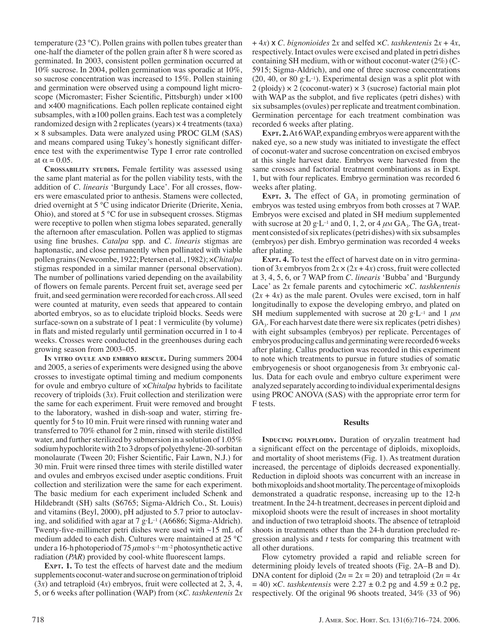temperature (23 °C). Pollen grains with pollen tubes greater than one-half the diameter of the pollen grain after 8 h were scored as germinated. In 2003, consistent pollen germination occurred at 10% sucrose. In 2004, pollen germination was sporadic at 10%, so sucrose concentration was increased to 15%. Pollen staining and germination were observed using a compound light microscope (Micromaster; Fisher Scientific, Pittsburgh) under  $\times 100$ and ×400 magnifications. Each pollen replicate contained eight subsamples, with ≥100 pollen grains. Each test was a completely randomized design with 2 replicates (years) × 4 treatments (taxa) × 8 subsamples. Data were analyzed using PROC GLM (SAS) and means compared using Tukey's honestly significant difference test with the experimentwise Type I error rate controlled at  $\alpha = 0.05$ .

**CROSSABILITY STUDIES.** Female fertility was assessed using the same plant material as for the pollen viability tests, with the addition of *C. linearis* 'Burgundy Lace'. For all crosses, flowers were emasculated prior to anthesis. Stamens were collected, dried overnight at 5 °C using indicator Drierite (Drierite, Xenia, Ohio), and stored at 5 °C for use in subsequent crosses. Stigmas were receptive to pollen when stigma lobes separated, generally the afternoon after emasculation. Pollen was applied to stigmas using fine brushes. *Catalpa* spp. and *C. linearis* stigmas are haptonastic, and close permanently when pollinated with viable pollen grains (Newcombe, 1922; Petersen et al., 1982); ×*Chitalpa* stigmas responded in a similar manner (personal observation). The number of pollinations varied depending on the availability of flowers on female parents. Percent fruit set, average seed per fruit, and seed germination were recorded for each cross. All seed were counted at maturity, even seeds that appeared to contain aborted embryos, so as to elucidate triploid blocks. Seeds were surface-sown on a substrate of 1 peat : 1 vermiculite (by volume) in flats and misted regularly until germination occurred in 1 to 4 weeks. Crosses were conducted in the greenhouses during each growing season from 2003–05.

**IN VITRO OVULE AND EMBRYO RESCUE.** During summers 2004 and 2005, a series of experiments were designed using the above crosses to investigate optimal timing and medium components for ovule and embryo culture of ×*Chitalpa* hybrids to facilitate recovery of triploids (3*x*). Fruit collection and sterilization were the same for each experiment. Fruit were removed and brought to the laboratory, washed in dish-soap and water, stirring frequently for 5 to 10 min. Fruit were rinsed with running water and transferred to 70% ethanol for 2 min, rinsed with sterile distilled water, and further sterilized by submersion in a solution of 1.05% sodium hypochlorite with 2 to 3 drops of polyethylene-20-sorbitan monolaurate (Tween 20; Fisher Scientific, Fair Lawn, N.J.) for 30 min. Fruit were rinsed three times with sterile distilled water and ovules and embryos excised under aseptic conditions. Fruit collection and sterilization were the same for each experiment. The basic medium for each experiment included Schenk and Hildebrandt (SH) salts (S6765; Sigma-Aldrich Co., St. Louis) and vitamins (Beyl, 2000), pH adjusted to 5.7 prior to autoclaving, and solidified with agar at  $7 g \cdot L^{-1}$  (A6686; Sigma-Aldrich). Twenty-five-millimeter petri dishes were used with  $\sim$ 15 mL of medium added to each dish. Cultures were maintained at 25 °C under a 16-h photoperiod of 75*μ*mol·s–1·m–2 photosynthetic active radiation (*PAR*) provided by cool-white fluorescent lamps.

**EXPT. 1.** To test the effects of harvest date and the medium supplements coconut-water and sucrose on germination of triploid (3*x*) and tetraploid (4*x*) embryos, fruit were collected at 2, 3, 4, 5, or 6 weeks after pollination (WAP) from (×*C. tashkentenis* 2*x* + 4*x*) x *C. bignonioides* 2*x* and selfed ×*C. tashkentenis* 2*x* + 4*x*, respectively. Intact ovules were excised and plated in petri dishes containing SH medium, with or without coconut-water (2%) (C-5915; Sigma-Aldrich), and one of three sucrose concentrations  $(20, 40, \text{ or } 80 \text{ g} \cdot L^{-1})$ . Experimental design was a split plot with  $2$  (ploidy)  $\times$  2 (coconut-water)  $\times$  3 (sucrose) factorial main plot with WAP as the subplot, and five replicates (petri dishes) with six subsamples (ovules) per replicate and treatment combination. Germination percentage for each treatment combination was recorded 6 weeks after plating.

**EXPT. 2.** At 6 WAP, expanding embryos were apparent with the naked eye, so a new study was initiated to investigate the effect of coconut-water and sucrose concentration on excised embryos at this single harvest date. Embryos were harvested from the same crosses and factorial treatment combinations as in Expt. 1, but with four replicates. Embryo germination was recorded 6 weeks after plating.

**EXPT.** 3. The effect of  $GA_3$  in promoting germination of embryos was tested using embryos from both crosses at 7 WAP. Embryos were excised and plated in SH medium supplemented with sucrose at 20 g·L<sup>-1</sup> and 0, 1, 2, or 4  $\mu$ M GA<sub>3</sub>. The GA<sub>3</sub> treatment consisted of six replicates (petri dishes) with six subsamples (embryos) per dish. Embryo germination was recorded 4 weeks after plating.

**EXPT. 4.** To test the effect of harvest date on in vitro germination of 3*x* embryos from  $2x \times (2x + 4x)$  cross, fruit were collected at 3, 4, 5, 6, or 7 WAP from *C. linearis* 'Bubba' and 'Burgundy Lace' as 2*x* female parents and cytochimeric ×*C. tashkentenis*  $(2x + 4x)$  as the male parent. Ovules were excised, torn in half longitudinally to expose the developing embryo, and plated on SH medium supplemented with sucrose at 20 g·L<sup>-1</sup> and 1  $\mu$ M  $GA<sub>3</sub>$ . For each harvest date there were six replicates (petri dishes) with eight subsamples (embryos) per replicate. Percentages of embryos producing callus and germinating were recorded 6 weeks after plating. Callus production was recorded in this experiment to note which treatments to pursue in future studies of somatic embryogenesis or shoot organogenesis from 3*x* embryonic callus. Data for each ovule and embryo culture experiment were analyzed separately according to individual experimental designs using PROC ANOVA (SAS) with the appropriate error term for F tests.

## **Results**

**INDUCING POLYPLOIDY.** Duration of oryzalin treatment had a significant effect on the percentage of diploids, mixoploids, and mortality of shoot meristems (Fig. 1). As treatment duration increased, the percentage of diploids decreased exponentially. Reduction in diploid shoots was concurrent with an increase in both mixoploids and shoot mortality. The percentage of mixoploids demonstrated a quadratic response, increasing up to the 12-h treatment. In the 24-h treatment, decreases in percent diploid and mixoploid shoots were the result of increases in shoot mortality and induction of two tetraploid shoots. The absence of tetraploid shoots in treatments other than the 24-h duration precluded regression analysis and *t* tests for comparing this treatment with all other durations.

Flow cytometry provided a rapid and reliable screen for determining ploidy levels of treated shoots (Fig. 2A–B and D). DNA content for diploid  $(2n = 2x = 20)$  and tetraploid  $(2n = 4x)$  $= 40$ ) ×*C. tashkentensis* were  $2.27 \pm 0.2$  pg and  $4.59 \pm 0.2$  pg, respectively. Of the original 96 shoots treated, 34% (33 of 96)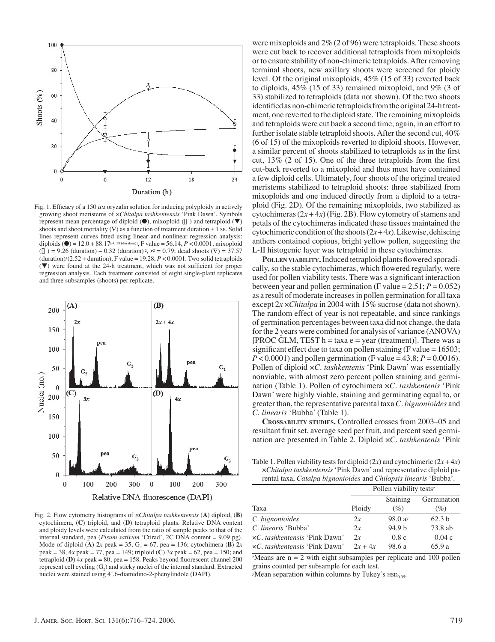

Fig. 1. Efficacy of a 150 μM oryzalin solution for inducing polyploidy in actively growing shoot meristems of ×*Chitalpa tashkentensis* 'Pink Dawn'. Symbols represent mean percentage of diploid  $($ <sup>o</sup>), mixoploid  $($  $)$  and tetraploid  $($ <sup>v</sup>) shoots and shoot mortality  $(\nabla)$  as a function of treatment duration  $\pm 1$  SE. Solid lines represent curves fitted using linear and nonlinear regression analysis: diploids ( $\bullet$ ) = 12.0 + 88.17<sup>[-0.29 (duration)], F value = 56.14, *P* < 0.0001; mixoploid</sup>  $(\bar{z}) = 9.26$  (duration) – 0.32 (duration)<sup>2</sup>,  $r^2 = 0.79$ ; dead shoots  $(\nabla) = 37.57$ (duration)/(2.52 + duration), F value =  $19.28$ ,  $P < 0.0001$ . Two solid tetraploids  $(\blacktriangledown)$  were found at the 24-h treatment, which was not sufficient for proper regression analysis. Each treatment consisted of eight single-plant replicates and three subsamples (shoots) per replicate.



Fig. 2. Flow cytometry histograms of ×*Chitalpa tashkentensis* (**A**) diploid, (**B**) cytochimera, (**C**) triploid, and (**D**) tetraploid plants. Relative DNA content and ploidy levels were calculated from the ratio of sample peaks to that of the internal standard, pea (*Pisum sativum* 'Ctirad', 2C DNA content = 9.09 pg). Mode of diploid (**A**)  $2x$  peak = 35,  $G_2 = 67$ , pea = 136; cytochimera (**B**)  $2x$ peak = 38, 4*x* peak = 77, pea = 149; triploid (**C**) 3*x* peak = 62, pea = 150; and tetraploid (**D**)  $4x$  peak = 80, pea = 158. Peaks beyond fluorescent channel 200 represent cell cycling  $(G_2)$  and sticky nuclei of the internal standard. Extracted nuclei were stained using 4´,6-diamidino-2-phenylindole (DAPI).

were mixoploids and 2% (2 of 96) were tetraploids. These shoots were cut back to recover additional tetraploids from mixoploids or to ensure stability of non-chimeric tetraploids. After removing terminal shoots, new axillary shoots were screened for ploidy level. Of the original mixoploids, 45% (15 of 33) reverted back to diploids, 45% (15 of 33) remained mixoploid, and 9% (3 of 33) stabilized to tetraploids (data not shown). Of the two shoots identified as non-chimeric tetraploids from the original 24-h treatment, one reverted to the diploid state. The remaining mixoploids and tetraploids were cut back a second time, again, in an effort to further isolate stable tetraploid shoots. After the second cut, 40% (6 of 15) of the mixoploids reverted to diploid shoots. However, a similar percent of shoots stabilized to tetraploids as in the first cut,  $13\%$  (2 of 15). One of the three tetraploids from the first cut-back reverted to a mixoploid and thus must have contained a few diploid cells. Ultimately, four shoots of the original treated meristems stabilized to tetraploid shoots: three stabilized from mixoploids and one induced directly from a diploid to a tetraploid (Fig. 2D). Of the remaining mixoploids, two stabilized as cytochimeras  $(2x+4x)$  (Fig. 2B). Flow cytometry of stamens and petals of the cytochimeras indicated these tissues maintained the cytochimeric condition of the shoots  $(2x+4x)$ . Likewise, dehiscing anthers contained copious, bright yellow pollen, suggesting the L-II histogenic layer was tetraploid in these cytochimeras.

POLLEN VIABILITY. Induced tetraploid plants flowered sporadically, so the stable cytochimeras, which flowered regularly, were used for pollen viability tests. There was a significant interaction between year and pollen germination (F value  $= 2.51$ ;  $P = 0.052$ ) as a result of moderate increases in pollen germination for all taxa except 2*x* ×*Chitalpa* in 2004 with 15% sucrose (data not shown). The random effect of year is not repeatable, and since rankings of germination percentages between taxa did not change, the data for the 2 years were combined for analysis of variance (ANOVA)  $[PROC GLM, TEST h = taxa e = year (treatment)].$  There was a significant effect due to taxa on pollen staining (F value =  $16503$ ;  $P < 0.0001$ ) and pollen germination (F value =  $43.8; P = 0.0016$ ). Pollen of diploid ×*C. tashkentenis* 'Pink Dawn' was essentially nonviable, with almost zero percent pollen staining and germination (Table 1). Pollen of cytochimera ×*C. tashkentenis* 'Pink Dawn' were highly viable, staining and germinating equal to, or greater than, the representative parental taxa*C. bignonioides* and *C. linearis* 'Bubba' (Table 1).

**CROSSABILITY STUDIES.** Controlled crosses from 2003–05 and resultant fruit set, average seed per fruit, and percent seed germination are presented in Table 2. Diploid ×*C. tashkentenis* 'Pink

Table 1. Pollen viability tests for diploid  $(2x)$  and cytochimeric  $(2x + 4x)$ ×*Chitalpa tashkentensis* 'Pink Dawn' and representative diploid parental taxa, *Catalpa bignonioides* and *Chilopsis linearis* 'Bubba'.

|                               | Pollen viability tests <sup>z</sup> |                   |                   |
|-------------------------------|-------------------------------------|-------------------|-------------------|
|                               |                                     | Staining          | Germination       |
| Taxa                          | Ploidy                              | (%)               | (%)               |
| C. bignonioides               | 2x                                  | 98.0a             | 62.3 <sub>b</sub> |
| C. linearis 'Bubba'           | 2x                                  | 94.9 <sub>b</sub> | 73.8 ab           |
| xC. tashkentensis 'Pink Dawn' | 2x                                  | 0.8c              | 0.04c             |
| xC. tashkentensis 'Pink Dawn' | $2x + 4x$                           | 98.6 a            | 65.9a             |

 $z$ Means are  $n = 2$  with eight subsamples per replicate and 100 pollen grains counted per subsample for each test.

*y*Mean separation within columns by Tukey's  $HSD_{0.05}$ .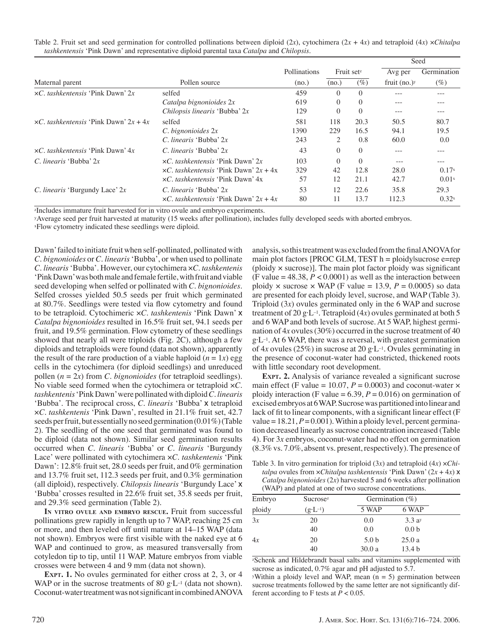|                                                |                                                  |              |                        |          |                 | Seed              |
|------------------------------------------------|--------------------------------------------------|--------------|------------------------|----------|-----------------|-------------------|
|                                                |                                                  | Pollinations | Fruit set <sup>z</sup> |          | Avg per         | Germination       |
| Maternal parent                                | Pollen source                                    | (no.)        | (no.)                  | $(\%)$   | fruit $(no.)^y$ | $(\%)$            |
| $\times C$ , tashkentensis 'Pink Dawn' 2x      | selfed                                           | 459          | $\Omega$               | $\Omega$ |                 | ---               |
|                                                | Catalpa bignonioides 2x                          | 619          | $\Omega$               | $\Omega$ | ---             | ---               |
|                                                | Chilopsis linearis 'Bubba' 2x                    | 129          | $\Omega$               | $\Omega$ | $---$           | $- - -$           |
| $\times C$ , tashkentensis 'Pink Dawn' 2x + 4x | selfed                                           | 581          | 118                    | 20.3     | 50.5            | 80.7              |
|                                                | $C.$ bignonioides $2x$                           | 1390         | 229                    | 16.5     | 94.1            | 19.5              |
|                                                | C. linearis 'Bubba' 2x                           | 243          | 2                      | 0.8      | 60.0            | 0.0               |
| $\times C$ , tashkentensis 'Pink Dawn' $4x$    | C. linearis 'Bubba' 2x                           | 43           | $\Omega$               | $\Omega$ | ---             |                   |
| $C.$ linearis 'Bubba' $2x$                     | $\times C$ , tashkentensis 'Pink Dawn' 2x        | 103          | $\Omega$               | $\Omega$ | $---$           | $- - -$           |
|                                                | $\times C$ , tashkentensis 'Pink Dawn' $2x + 4x$ | 329          | 42                     | 12.8     | 28.0            | $0.17^{x}$        |
|                                                | xC. tashkentensis 'Pink Dawn' 4x                 | 57           | 12                     | 21.1     | 42.7            | 0.01x             |
| <i>C. linearis</i> 'Burgundy Lace' $2x$        | $C.$ linearis 'Bubba' $2x$                       | 53           | 12                     | 22.6     | 35.8            | 29.3              |
|                                                | $\times C$ , tashkentensis 'Pink Dawn' 2x + 4x   | 80           | 11                     | 13.7     | 112.3           | 0.32 <sub>x</sub> |

Table 2. Fruit set and seed germination for controlled pollinations between diploid (2*x*), cytochimera (2*x* + 4*x*) and tetraploid (4*x*) ×*Chitalpa tashkentensis* 'Pink Dawn' and representative diploid parental taxa *Catalpa* and *Chilopsis.*

zIncludes immature fruit harvested for in vitro ovule and embryo experiments.

yAverage seed per fruit harvested at maturity (15 weeks after pollination), includes fully developed seeds with aborted embryos.

xFlow cytometry indicated these seedlings were diploid.

Dawn' failed to initiate fruit when self-pollinated, pollinated with *C. bignonioides* or *C. linearis*'Bubba', or when used to pollinate *C. linearis*'Bubba'. However, our cytochimera ×*C. tashkentenis* 'Pink Dawn' was both male and female fertile, with fruit and viable seed developing when selfed or pollinated with *C. bignonioides*. Selfed crosses yielded 50.5 seeds per fruit which germinated at 80.7%. Seedlings were tested via flow cytometry and found to be tetraploid. Cytochimeric ×*C. tashkentenis* 'Pink Dawn' x *Catalpa bignonioides* resulted in 16.5% fruit set, 94.1 seeds per fruit, and 19.5% germination. Flow cytometry of these seedlings showed that nearly all were triploids (Fig. 2C), although a few diploids and tetraploids were found (data not shown), apparently the result of the rare production of a viable haploid  $(n = 1x)$  egg cells in the cytochimera (for diploid seedlings) and unreduced pollen (*n* = 2*x*) from *C. bignonioides* (for tetraploid seedlings). No viable seed formed when the cytochimera or tetraploid ×*C. tashkentenis*'Pink Dawn' were pollinated with diploid*C. linearis* 'Bubba'. The reciprocal cross, *C. linearis* 'Bubba' x tetraploid ×*C. tashkentenis* 'Pink Dawn', resulted in 21.1% fruit set, 42.7 seeds per fruit, but essentially no seed germination (0.01%) (Table 2). The seedling of the one seed that germinated was found to be diploid (data not shown). Similar seed germination results occurred when *C. linearis* 'Bubba' or *C. linearis* 'Burgundy Lace' were pollinated with cytochimera ×*C. tashkentenis* 'Pink Dawn': 12.8% fruit set, 28.0 seeds per fruit, and 0% germination and 13.7% fruit set, 112.3 seeds per fruit, and 0.3% germination (all diploid), respectively. *Chilopsis linearis* 'Burgundy Lace' x 'Bubba' crosses resulted in 22.6% fruit set, 35.8 seeds per fruit, and 29.3% seed germination (Table 2).

**IN VITRO OVULE AND EMBRYO RESCUE.** Fruit from successful pollinations grew rapidly in length up to 7 WAP, reaching 25 cm or more, and then leveled off until mature at 14–15 WAP (data not shown). Embryos were first visible with the naked eye at 6 WAP and continued to grow, as measured transversally from cotyledon tip to tip, until 11 WAP. Mature embryos from viable crosses were between 4 and 9 mm (data not shown).

**EXPT. 1.** No ovules germinated for either cross at 2, 3, or 4 WAP or in the sucrose treatments of 80 g·L<sup>-1</sup> (data not shown). Coconut-water treatment was not significant in combined ANOVA

analysis, so this treatment was excluded from the final ANOVA for main plot factors [PROC GLM, TEST h = ploidylsucrose e=rep (ploidy  $\times$  sucrose)]. The main plot factor ploidy was significant (F value  $= 48.38, P < 0.0001$ ) as well as the interaction between ploidy  $\times$  sucrose  $\times$  WAP (F value = 13.9,  $P = 0.0005$ ) so data are presented for each ploidy level, sucrose, and WAP (Table 3). Triploid (3*x*) ovules germinated only in the 6 WAP and sucrose treatment of 20 g·L<sup>-1</sup>. Tetraploid  $(4x)$  ovules germinated at both 5 and 6 WAP and both levels of sucrose. At 5 WAP, highest germination of 4*x* ovules (30%) occurred in the sucrose treatment of 40 g·L–1. At 6 WAP, there was a reversal, with greatest germination of 4*x* ovules (25%) in sucrose at 20 g·L–1. Ovules germinating in the presence of coconut-water had constricted, thickened roots with little secondary root development.

**EXPT. 2.** Analysis of variance revealed a significant sucrose main effect (F value = 10.07,  $P = 0.0003$ ) and coconut-water  $\times$ ploidy interaction (F value =  $6.39$ ,  $P = 0.016$ ) on germination of excised embryos at 6 WAP. Sucrose was partitioned into linear and lack of fit to linear components, with a significant linear effect  $(F)$ value =  $18.21$ ,  $P = 0.001$ ). Within a ploidy level, percent germination decreased linearly as sucrose concentration increased (Table 4). For 3*x* embryos, coconut-water had no effect on germination (8.3% vs. 7.0%, absent vs. present, respectively). The presence of

Table 3. In vitro germination for triploid (3*x*) and tetraploid (4*x*) ×*Chitalpa* ovules from ×*Chitalpa tashkentensis* 'Pink Dawn' (2*x* + 4*x*) x *Catalpa bignonioides* (2*x*) harvested 5 and 6 weeks after pollination (WAP) and plated at one of two sucrose concentrations.

| Embryo | Sucrosez           |                  | Germination $(\% )$ |  |
|--------|--------------------|------------------|---------------------|--|
| ploidy | $(g \cdot L^{-1})$ | 5 WAP            | 6 WAP               |  |
| 3x     | 20                 | 0.0              | 3.3a <sub>y</sub>   |  |
|        | 40                 | 0.0              | 0.0 <sub>b</sub>    |  |
| 4x     | 20                 | 5.0 <sub>b</sub> | 25.0a               |  |
|        | 40                 | 30.0a            | 13.4 <sub>b</sub>   |  |

zSchenk and Hildebrandt basal salts and vitamins supplemented with sucrose as indicated, 0.7% agar and pH adjusted to 5.7.

yWithin a ploidy level and WAP, mean  $(n = 5)$  germination between sucrose treatments followed by the same letter are not significantly different according to F tests at  $P < 0.05$ .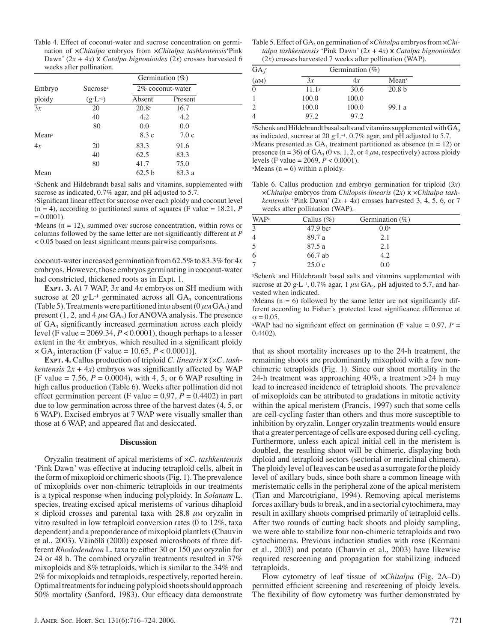Table 4. Effect of coconut-water and sucrose concentration on germination of ×*Chitalpa* embryos from ×*Chitalpa tashkentensis*'Pink Dawn'  $(2x + 4x)$  **x** *Catalpa bignonioides*  $(2x)$  crosses harvested 6 weeks after pollination.

|                 |                             | Germination $(\%)$ |         |  |
|-----------------|-----------------------------|--------------------|---------|--|
| Embryo          | <b>Sucrose</b> <sub>z</sub> | 2% coconut-water   |         |  |
| ploidy          | $(g \cdot L^{-1})$          | Absent             | Present |  |
| $\overline{3x}$ | 20                          | 20.8 <sub>y</sub>  | 16.7    |  |
|                 | 40                          | 4.2                | 4.2     |  |
|                 | 80                          | 0.0                | 0.0     |  |
| Meanx           |                             | 8.3c               | 7.0c    |  |
| 4x              | 20                          | 83.3               | 91.6    |  |
|                 | 40                          | 62.5               | 83.3    |  |
|                 | 80                          | 41.7               | 75.0    |  |
| Mean            |                             | 62.5 b             | 83.3 a  |  |

zSchenk and Hildebrandt basal salts and vitamins, supplemented with sucrose as indicated, 0.7% agar, and pH adjusted to 5.7.

<sup>y</sup>Significant linear effect for sucrose over each ploidy and coconut level  $(n = 4)$ , according to partitioned sums of squares (F value = 18.21, P  $= 0.0001$ ).

 $x$ Means (n = 12), summed over sucrose concentration, within rows or columns followed by the same letter are not significantly different at *P* < 0.05 based on least significant means pairwise comparisons.

coconut-water increased germination from 62.5% to 83.3% for 4*x* embryos. However, those embryos germinating in coconut-water had constricted, thickened roots as in Expt. 1.

**EXPT. 3.** At 7 WAP, 3*x* and 4*x* embryos on SH medium with sucrose at 20 g·L<sup>-1</sup> germinated across all  $GA_3$  concentrations (Table 5). Treatments were partitioned into absent ( $0 \mu M G A_3$ ) and present  $(1, 2, \text{ and } 4 \mu \text{M} \text{ GA}_3)$  for ANOVA analysis. The presence of  $GA_3$  significantly increased germination across each ploidy level (F value  $= 2069.34, P < 0.0001$ ), though perhaps to a lesser extent in the  $4x$  embryos, which resulted in a significant ploidy  $\times$  GA<sub>3</sub> interaction (F value = 10.65, *P* < 0.0001)].

**EXPT. 4.** Callus production of triploid *C. linearis* x (×*C. tashkentensis*  $2x + 4x$ *)* embryos was significantly affected by WAP  $(F \text{ value} = 7.56, P = 0.0004), \text{ with } 4, 5, \text{ or } 6 \text{ WAP resulting in}$ high callus production (Table 6). Weeks after pollination did not effect germination percent (F value =  $0.97$ ,  $P = 0.4402$ ) in part due to low germination across three of the harvest dates (4, 5, or 6 WAP). Excised embryos at 7 WAP were visually smaller than those at 6 WAP, and appeared flat and desiccated.

#### **Discussion**

Oryzalin treatment of apical meristems of ×*C. tashkentensis* 'Pink Dawn' was effective at inducing tetraploid cells, albeit in the form of mixoploid or chimeric shoots (Fig. 1). The prevalence of mixoploids over non-chimeric tetraploids in our treatments is a typical response when inducing polyploidy. In *Solanum* L. species, treating excised apical meristems of various dihaploid × diploid crosses and parental taxa with 28.8 *μ*M oryzalin in vitro resulted in low tetraploid conversion rates (0 to 12%, taxa dependent) and a preponderance of mixoploid plantlets (Chauvin et al., 2003). Väinölä (2000) exposed microshoots of three different *Rhododendron* L. taxa to either 30 or 150 *μ*M oryzalin for 24 or 48 h. The combined oryzalin treatments resulted in 37% mixoploids and 8% tetraploids, which is similar to the 34% and 2% for mixoploids and tetraploids, respectively, reported herein. Optimal treatments for inducing polyploid shoots should approach 50% mortality (Sanford, 1983). Our efficacy data demonstrate

| $GA_{3}^{\prime\prime}$ |                   | Germination $(\% )$ |                   |  |
|-------------------------|-------------------|---------------------|-------------------|--|
| $(\mu M)$               | 3x                | 4x                  | Mean <sup>x</sup> |  |
| $\overline{0}$          | 11.1 <sup>y</sup> | 30.6                | 20.8 <sub>b</sub> |  |
| 1                       | 100.0             | 100.0               |                   |  |
| 2                       | 100.0             | 100.0               | 99.1 a            |  |
| 4                       | 97.2              | 97.2                |                   |  |

<sup>z</sup>Schenk and Hildebrandt basal salts and vitamins supplemented with  $GA_3$ as indicated, sucrose at 20 g·L–1, 0.7% agar, and pH adjusted to 5.7. yMeans presented as  $GA_3$  treatment partitioned as absence (n = 12) or presence ( $n = 36$ ) of  $GA_3$  (0 vs. 1, 2, or 4  $\mu$ M, respectively) across ploidy levels (F value = 2069, *P* < 0.0001).  $x$ Means (n = 6) within a ploidy.

Table 6. Callus production and embryo germination for triploid (3*x*) ×*Chitalpa* embryos from *Chilopsis linearis* (2*x*) x ×*Chitalpa tashkentensis* 'Pink Dawn'  $(2x + 4x)$  crosses harvested 3, 4, 5, 6, or 7 weeks after pollination (WAP).

| <b>WAPz</b>    | Callus $(\%)$ | Germination $(\% )$ |  |
|----------------|---------------|---------------------|--|
| $\overline{3}$ | $47.9$ bcy    | 0.0 <sub>x</sub>    |  |
| 4              | 89.7 a        | 2.1                 |  |
| 5              | 87.5 a        | 2.1                 |  |
| 6              | 66.7 ab       | 4.2                 |  |
| 7              | 25.0c         | 0.0                 |  |
|                |               |                     |  |

zSchenk and Hildebrandt basal salts and vitamins supplemented with sucrose at 20 g·L<sup>-1</sup>, 0.7% agar, 1  $\mu$ M GA<sub>3</sub>, pH adjusted to 5.7, and harvested when indicated.

 $y$ Means (n = 6) followed by the same letter are not significantly different according to Fisher's protected least significance difference at  $\alpha = 0.05$ .

<sup>x</sup>WAP had no significant effect on germination (F value = 0.97,  $P =$ 0.4402).

that as shoot mortality increases up to the 24-h treatment, the remaining shoots are predominantly mixoploid with a few nonchimeric tetraploids (Fig. 1). Since our shoot mortality in the 24-h treatment was approaching 40%, a treatment >24 h may lead to increased incidence of tetraploid shoots. The prevalence of mixoploids can be attributed to gradations in mitotic activity within the apical meristem (Francis, 1997) such that some cells are cell-cycling faster than others and thus more susceptible to inhibition by oryzalin. Longer oryzalin treatments would ensure that a greater percentage of cells are exposed during cell-cycling. Furthermore, unless each apical initial cell in the meristem is doubled, the resulting shoot will be chimeric, displaying both diploid and tetraploid sectors (sectorial or mericlinal chimera). The ploidy level of leaves can be used as a surrogate for the ploidy level of axillary buds, since both share a common lineage with meristematic cells in the peripheral zone of the apical meristem (Tian and Marcotrigiano, 1994). Removing apical meristems forces axillary buds to break, and in a sectorial cytochimera, may result in axillary shoots comprised primarily of tetraploid cells. After two rounds of cutting back shoots and ploidy sampling, we were able to stabilize four non-chimeric tetraploids and two cytochimeras. Previous induction studies with rose (Kermani et al., 2003) and potato (Chauvin et al., 2003) have likewise required rescreening and propagation for stabilizing induced tetraploids.

Flow cytometry of leaf tissue of ×*Chitalpa* (Fig. 2A–D) permitted efficient screening and rescreening of ploidy levels. The flexibility of flow cytometry was further demonstrated by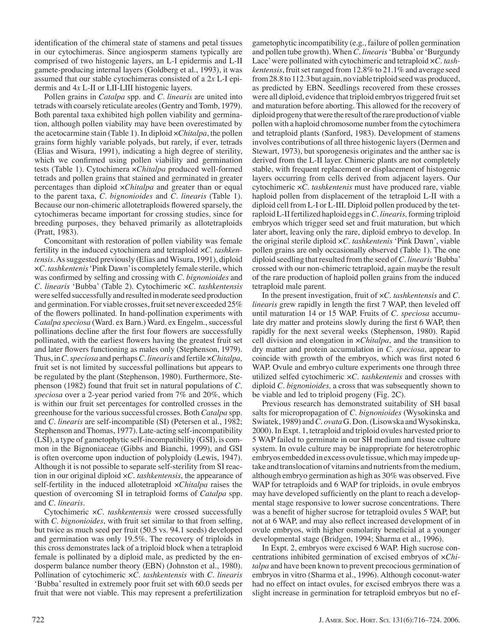identification of the chimeral state of stamens and petal tissues in our cytochimeras. Since angiosperm stamens typically are comprised of two histogenic layers, an L-I epidermis and L-II gamete-producing internal layers (Goldberg et al., 1993), it was assumed that our stable cytochimeras consisted of a 2*x* L-I epidermis and 4*x* L-II or LII-LIII histogenic layers.

Pollen grains in *Catalpa* spp. and *C. linearis* are united into tetrads with coarsely reticulate areoles (Gentry and Tomb, 1979). Both parental taxa exhibited high pollen viability and germination, although pollen viability may have been overestimated by the acetocarmine stain (Table 1). In diploid ×*Chitalpa*, the pollen grains form highly variable polyads, but rarely, if ever, tetrads (Elias and Wisura, 1991), indicating a high degree of sterility, which we confirmed using pollen viability and germination tests (Table 1). Cytochimera ×*Chitalpa* produced well-formed tetrads and pollen grains that stained and germinated in greater percentages than diploid ×*Chitalpa* and greater than or equal to the parent taxa, *C. bignonioides* and *C. linearis* (Table 1). Because our non-chimeric allotetraploids flowered sparsely, the cytochimeras became important for crossing studies, since for breeding purposes, they behaved primarily as allotetraploids (Pratt, 1983).

Concomitant with restoration of pollen viability was female fertility in the induced cytochimera and tetraploid ×*C. tashkentensis*. As suggested previously (Elias and Wisura, 1991), diploid ×*C. tashkentenis*'Pink Dawn' is completely female sterile, which was confirmed by selfing and crossing with *C. bignonioides* and *C. linearis* 'Bubba' (Table 2). Cytochimeric ×*C. tashkentensis* were selfed successfully and resulted in moderate seed production and germination*.* For viable crosses, fruit set never exceeded 25% of the flowers pollinated. In hand-pollination experiments with *Catalpa speciosa* (Ward. ex Barn.) Ward. ex Engelm., successful pollinations decline after the first four flowers are successfully pollinated, with the earliest flowers having the greatest fruit set and later flowers functioning as males only (Stephenson, 1979). Thus, in*C. speciosa* and perhaps*C. linearis* and fertile ×*Chitalpa,* fruit set is not limited by successful pollinations but appears to be regulated by the plant (Stephenson, 1980). Furthermore, Stephenson (1982) found that fruit set in natural populations of *C. speciosa* over a 2-year period varied from 7% and 20%, which is within our fruit set percentages for controlled crosses in the greenhouse for the various successful crosses. Both *Catalpa* spp. and *C. linearis* are self-incompatible (SI) (Petersen et al., 1982; Stephenson and Thomas, 1977). Late-acting self-incompatibility (LSI), a type of gametophytic self-incompatibility (GSI), is common in the Bignoniaceae (Gibbs and Bianchi, 1999), and GSI is often overcome upon induction of polyploidy (Lewis, 1947). Although it is not possible to separate self-sterility from SI reaction in our original diploid ×*C. tashkentensis*, the appearance of self-fertility in the induced allotetraploid ×*Chitalpa* raises the question of overcoming SI in tetraploid forms of *Catalpa* spp. and *C. linearis*.

Cytochimeric ×*C. tashkentensis* were crossed successfully with *C. bignonioides*, with fruit set similar to that from selfing, but twice as much seed per fruit (50.5 vs. 94.1 seeds) developed and germination was only 19.5%. The recovery of triploids in this cross demonstrates lack of a triploid block when a tetraploid female is pollinated by a diploid male, as predicted by the endosperm balance number theory (EBN) (Johnston et al., 1980). Pollination of cytochimeric ×*C. tashkentensis* with *C. linearis* 'Bubba' resulted in extremely poor fruit set with 60.0 seeds per fruit that were not viable. This may represent a prefertilization

gametophytic incompatibility (e.g., failure of pollen germination and pollen tube growth). When *C. linearis*'Bubba' or 'Burgundy Lace' were pollinated with cytochimeric and tetraploid ×*C. tashkentensis*, fruit set ranged from 12.8% to 21.1% and average seed from 28.8 to 112.3 but again, no viable triploid seed was produced, as predicted by EBN. Seedlings recovered from these crosses were all diploid, evidence that triploid embryos triggered fruit set and maturation before aborting. This allowed for the recovery of diploid progeny that were the result of the rare production of viable pollen with a haploid chromosome number from the cytochimera and tetraploid plants (Sanford, 1983). Development of stamens involves contributions of all three histogenic layers (Dermen and Stewart, 1973), but sporogenesis originates and the anther sac is derived from the L-II layer. Chimeric plants are not completely stable, with frequent replacement or displacement of histogenic layers occurring from cells derived from adjacent layers. Our cytochimeric ×*C. tashkentenis* must have produced rare, viable haploid pollen from displacement of the tetraploid L-II with a diploid cell from L-I or L-III. Diploid pollen produced by the tetraploid L-II fertilized haploid eggs in*C. linearis,*forming triploid embryos which trigger seed set and fruit maturation, but which later abort, leaving only the rare, diploid embryo to develop. In the original sterile diploid ×*C. tashkentenis* 'Pink Dawn', viable pollen grains are only occasionally observed (Table 1). The one diploid seedling that resulted from the seed of*C. linearis*'Bubba' crossed with our non-chimeric tetraploid, again maybe the result of the rare production of haploid pollen grains from the induced tetraploid male parent.

In the present investigation, fruit of ×*C. tashkentensis* and *C. linearis* grew rapidly in length the first 7 WAP, then leveled off until maturation 14 or 15 WAP. Fruits of *C. speciosa* accumulate dry matter and proteins slowly during the first 6 WAP, then rapidly for the next several weeks (Stephenson, 1980). Rapid cell division and elongation in ×*Chitalpa*, and the transition to dry matter and protein accumulation in *C. speciosa*, appear to coincide with growth of the embryos, which was first noted 6 WAP. Ovule and embryo culture experiments one through three utilized selfed cytochimeric ×*C. tashkentenis* and crosses with diploid *C. bignonioides,* a cross that was subsequently shown to be viable and led to triploid progeny (Fig. 2C).

Previous research has demonstrated suitability of SH basal salts for micropropagation of *C. bignonioides* (Wysokinska and Swiatek, 1989) and*C. ovata*G. Don. (Lisowska and Wysokinska, 2000). In Expt. 1, tetraploid and triploid ovules harvested prior to 5 WAP failed to germinate in our SH medium and tissue culture system. In ovule culture may be inappropriate for heterotrophic embryos embedded in excess ovule tissue, which may impede uptake and translocation of vitamins and nutrients from the medium, although embryo germination as high as 30% was observed. Five WAP for tetraploids and 6 WAP for triploids, in ovule embryos may have developed sufficiently on the plant to reach a developmental stage responsive to lower sucrose concentrations. There was a benefit of higher sucrose for tetraploid ovules 5 WAP, but not at 6 WAP, and may also reflect increased development of in ovule embryos, with higher osmolarity beneficial at a younger developmental stage (Bridgen, 1994; Sharma et al., 1996).

In Expt. 2, embryos were excised 6 WAP. High sucrose concentrations inhibited germination of excised embryos of ×*Chitalpa* and have been known to prevent precocious germination of embryos in vitro (Sharma et al., 1996). Although coconut-water had no effect on intact ovules, for excised embryos there was a slight increase in germination for tetraploid embryos but no ef-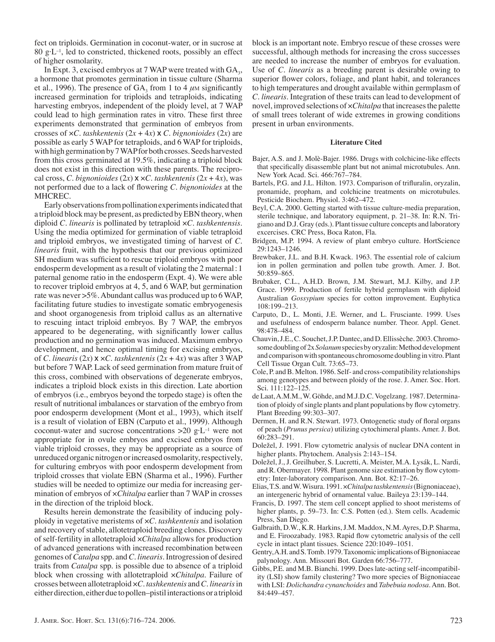fect on triploids. Germination in coconut-water, or in sucrose at  $80 \text{ g} \cdot L^{-1}$ , led to constricted, thickened roots, possibly an effect of higher osmolarity.

In Expt. 3, excised embryos at 7 WAP were treated with  $GA<sub>3</sub>$ , a hormone that promotes germination in tissue culture (Sharma et al., 1996). The presence of  $GA_3$  from 1 to 4  $\mu$ M significantly increased germination for triploids and tetraploids, indicating harvesting embryos, independent of the ploidy level, at 7 WAP could lead to high germination rates in vitro. These first three experiments demonstrated that germination of embryos from crosses of  $\times C$ . tashkentenis  $(2x + 4x) \times C$ . bignonioides  $(2x)$  are possible as early 5 WAP for tetraploids, and 6 WAP for triploids, with high germination by 7 WAP for both crosses. Seeds harvested from this cross germinated at 19.5%, indicating a triploid block does not exist in this direction with these parents. The reciprocal cross, *C. bignonioides* (2*x*)  $\times$   $\times$ *C. tashkentenis* (2*x* + 4*x*), was not performed due to a lack of flowering *C. bignonioides* at the MHCREC.

Early observations from pollination experiments indicated that a triploid block may be present, as predicted by EBN theory, when diploid *C. linearis* is pollinated by tetraploid ×*C. tashkentensis*. Using the media optimized for germination of viable tetraploid and triploid embryos, we investigated timing of harvest of *C. linearis* fruit, with the hypothesis that our previous optimized SH medium was sufficient to rescue triploid embryos with poor endosperm development as a result of violating the 2 maternal : 1 paternal genome ratio in the endosperm (Expt. 4). We were able to recover triploid embryos at 4, 5, and 6 WAP, but germination rate was never >5%. Abundant callus was produced up to 6 WAP, facilitating future studies to investigate somatic embryogenesis and shoot organogenesis from triploid callus as an alternative to rescuing intact triploid embryos. By 7 WAP, the embryos appeared to be degenerating, with significantly lower callus production and no germination was induced. Maximum embryo development, and hence optimal timing for excising embryos, of *C. linearis* ( $2x$ )  $x \times C$ *. tashkentenis* ( $2x + 4x$ ) was after 3 WAP but before 7 WAP. Lack of seed germination from mature fruit of this cross, combined with observations of degenerate embryos, indicates a triploid block exists in this direction. Late abortion of embryos (i.e., embryos beyond the torpedo stage) is often the result of nutritional imbalances or starvation of the embryo from poor endosperm development (Mont et al., 1993), which itself is a result of violation of EBN (Carputo et al., 1999). Although coconut-water and sucrose concentrations  $>20$  g·L<sup>-1</sup> were not appropriate for in ovule embryos and excised embryos from viable triploid crosses, they may be appropriate as a source of unreduced organic nitrogen or increased osmolarity, respectively, for culturing embryos with poor endosperm development from triploid crosses that violate EBN (Sharma et al., 1996). Further studies will be needed to optimize our media for increasing germination of embryos of ×*Chitalpa* earlier than 7 WAP in crosses in the direction of the triploid block.

Results herein demonstrate the feasibility of inducing polyploidy in vegetative meristems of ×*C. tashkentenis* and isolation and recovery of stable, allotetraploid breeding clones. Discovery of self-fertility in allotetraploid ×*Chitalpa* allows for production of advanced generations with increased recombination between genomes of*Catalpa* spp. and*C. linearis*. Introgression of desired traits from *Catalpa* spp. is possible due to absence of a triploid block when crossing with allotetraploid ×*Chitalpa*. Failure of crosses between allotetraploid ×*C. tashkentenis* and *C. linearis*in either direction, either due to pollen–pistil interactions or a triploid block is an important note. Embryo rescue of these crosses were successful, although methods for increasing the cross successes are needed to increase the number of embryos for evaluation. Use of *C. linearis* as a breeding parent is desirable owing to superior flower colors, foliage, and plant habit, and tolerances to high temperatures and drought available within germplasm of *C. linearis*. Integration of these traits can lead to development of novel, improved selections of ×*Chitalpa* that increases the palette of small trees tolerant of wide extremes in growing conditions present in urban environments.

#### **Literature Cited**

- Bajer, A.S. and J. Molè-Bajer. 1986. Drugs with colchicine-like effects that specifically disassemble plant but not animal microtubules. Ann. New York Acad. Sci. 466:767–784.
- Bartels, P.G. and J.L. Hilton. 1973. Comparison of trifluralin, oryzalin, pronamide, propham, and colchicine treatments on microtubules. Pesticide Biochem. Physiol. 3:462–472.
- Beyl, C.A. 2000. Getting started with tissue culture-media preparation, sterile technique, and laboratory equipment, p. 21–38. In: R.N. Trigiano and D.J. Gray (eds.). Plant tissue culture concepts and laboratory excercises. CRC Press, Boca Raton, Fla.
- Bridgen, M.P. 1994. A review of plant embryo culture. HortScience 29:1243–1246.
- Brewbaker, J.L. and B.H. Kwack. 1963. The essential role of calcium ion in pollen germination and pollen tube growth. Amer. J. Bot. 50:859–865.
- Brubaker, C.L., A.H.D. Brown, J.M. Stewart, M.J. Kilby, and J.P. Grace. 1999. Production of fertile hybrid germplasm with diploid Australian *Gossypium* species for cotton improvement. Euphytica 108:199–213.
- Carputo, D., L. Monti, J.E. Werner, and L. Frusciante. 1999. Uses and usefulness of endosperm balance number. Theor. Appl. Genet. 98:478–484.
- Chauvin, J.E., C. Souchet, J.P. Dantec, and D. Ellissèche. 2003. Chromosome doubling of 2x*Solanum*species by oryzalin: Method development and comparison with spontaneous chromosome doubling in vitro. Plant Cell Tissue Organ Cult. 73:65–73.
- Cole, P. and B. Melton. 1986. Self- and cross-compatibility relationships among genotypes and between ploidy of the rose. J. Amer. Soc. Hort. Sci. 111:122–125.
- de Laat, A.M.M., W. Göhde, and M.J.D.C. Vogelzang. 1987. Determination of ploidy of single plants and plant populations by flow cytometry. Plant Breeding 99:303–307.
- Dermen, H. and R.N. Stewart. 1973. Ontogenetic study of floral organs of peach (*Prunus persica*) utilizing cytochimeral plants. Amer. J. Bot. 60:283–291.
- Doležel, J. 1991. Flow cytometric analysis of nuclear DNA content in higher plants. Phytochem. Analysis 2:143–154.
- Doležel, J., J. Greilhuber, S. Lucretti, A. Meister, M.A. Lysák, L. Nardi, and R. Obermayer. 1998. Plant genome size estimation by flow cytometry: Inter-laboratory comparison. Ann. Bot. 82:17–26.
- Elias, T.S. and W. Wisura. 1991. ×*Chitalpatashkentensis*(Bignoniaceae), an intergeneric hybrid of ornamental value. Baileya 23:139–144.
- Francis, D. 1997. The stem cell concept applied to shoot meristems of higher plants, p. 59–73. In: C.S. Potten (ed.). Stem cells. Academic Press, San Diego.
- Galbraith, D.W., K.R. Harkins, J.M. Maddox, N.M. Ayres, D.P. Sharma, and E. Firoozabady. 1983. Rapid flow cytometric analysis of the cell cycle in intact plant tissues. Science 220:1049–1051.
- Gentry, A.H. and S. Tomb. 1979. Taxonomic implications of Bignoniaceae palynology. Ann. Missouri Bot. Garden 66:756–777.
- Gibbs, P.E. and M.B. Bianchi. 1999. Does late-acting self-incompatibility (LSI) show family clustering? Two more species of Bignoniaceae with LSI: *Dolichandra cynanchoides* and *Tabebuia nodosa*. Ann. Bot. 84:449–457.